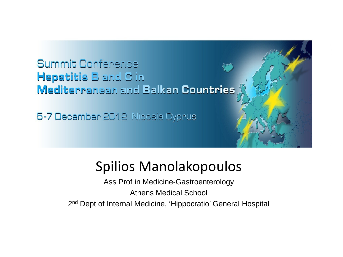#### **Summit Conference Hepatitis B** and C in **Mediterranean and Balkan Countries**

5-7 December 2012 Nicosia Cyprus

#### Spilios Manolakopoulos

Ass Prof in Medicine-Gastroenterology Athens Medical School 2<sup>nd</sup> Dept of Internal Medicine, 'Hippocratio' General Hospital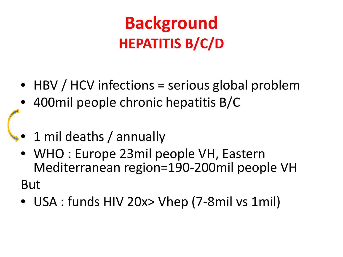#### **Background HEPATITIS B/C/D**

- HBV / HCV infections = serious global problem
- 400mil people chronic hepatitis B/C
- 1 mil deaths / annually
	- WHO : Europe 23mil people VH, Eastern Mediterranean region=190-200mil people VH

But

• USA : funds HIV 20x> Vhep (7-8mil vs 1mil)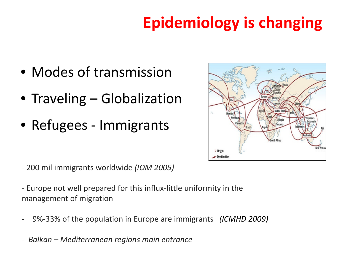#### **Epidemiology is changing**

- Modes of transmission
- Traveling Globalization
- Refugees Immigrants



- 200 mil immigrants worldwide *(ΙΟΜ 2005)*
- Europe not well prepared for this influx-little uniformity in the management of migration
- 9%-33% of the population in Europe are immigrants *(ICMHD 2009)*
- *- Balkan – Mediterranean regions main entrance*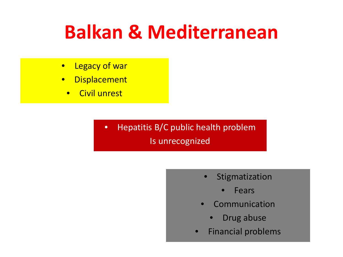#### **Balkan & Mediterranean**

- Legacy of war
- Displacement
	- Civil unrest

• Hepatitis B/C public health problem Is unrecognized

- Stigmatization
	- **Fears**
- **Communication** 
	- Drug abuse
- Financial problems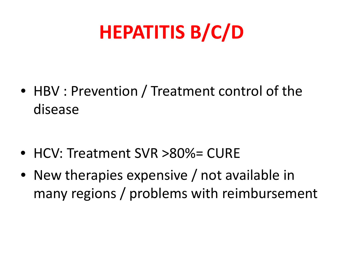# **HEPATITIS B/C/D**

• HBV : Prevention / Treatment control of the disease

- HCV: Treatment SVR >80%= CURE
- New therapies expensive / not available in many regions / problems with reimbursement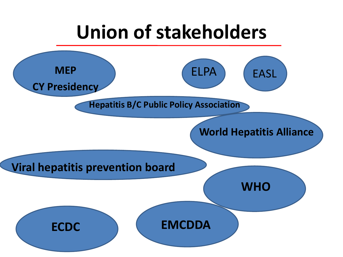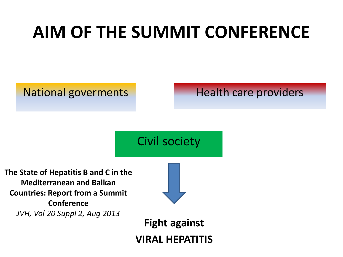#### **AIM OF THE SUMMIT CONFERENCE**

#### National goverments Health care providers

#### Civil society

**The State of Hepatitis B and C in the Mediterranean and Balkan Countries: Report from a Summit Conference** *JVH, Vol 20 Suppl 2, Aug 2013*



**Fight against VIRAL HEPATITIS**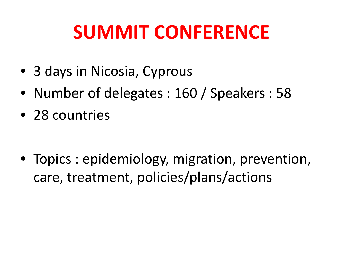### **SUMMIT CONFERENCE**

- 3 days in Nicosia, Cyprous
- Number of delegates : 160 / Speakers : 58
- 28 countries

• Topics : epidemiology, migration, prevention, care, treatment, policies/plans/actions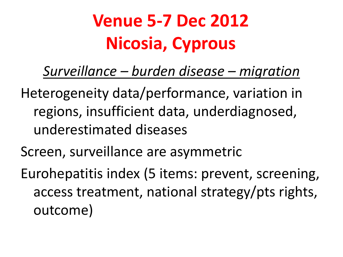### **Venue 5-7 Dec 2012 Nicosia, Cyprous**

*Surveillance – burden disease – migration*

- Heterogeneity data/performance, variation in regions, insufficient data, underdiagnosed, underestimated diseases
- Screen, surveillance are asymmetric
- Eurohepatitis index (5 items: prevent, screening, access treatment, national strategy/pts rights, outcome)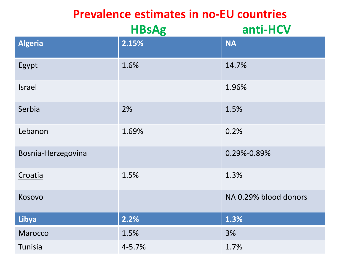#### **Prevalence estimates in no-EU countries**

|                    | <b>HBsAg</b> | anti-HCV              |
|--------------------|--------------|-----------------------|
| <b>Algeria</b>     | 2.15%        | <b>NA</b>             |
| Egypt              | 1.6%         | 14.7%                 |
| <b>Israel</b>      |              | 1.96%                 |
| Serbia             | 2%           | 1.5%                  |
| Lebanon            | 1.69%        | 0.2%                  |
| Bosnia-Herzegovina |              | 0.29%-0.89%           |
| Croatia            | 1.5%         | 1.3%                  |
| Kosovo             |              | NA 0.29% blood donors |
| Libya              | 2.2%         | 1.3%                  |
| Marocco            | 1.5%         | 3%                    |
| Tunisia            | 4-5.7%       | 1.7%                  |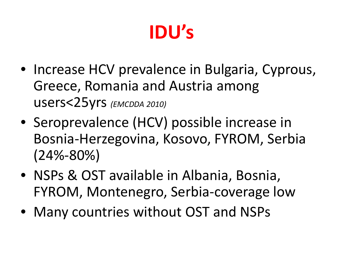# **IDU's**

- Increase HCV prevalence in Bulgaria, Cyprous, Greece, Romania and Austria among users<25yrs *(EMCDDA 2010)*
- Seroprevalence (HCV) possible increase in Bosnia-Herzegovina, Kosovo, FYROM, Serbia (24%-80%)
- NSPs & OST available in Albania, Bosnia, FYROM, Montenegro, Serbia-coverage low
- Many countries without OST and NSPs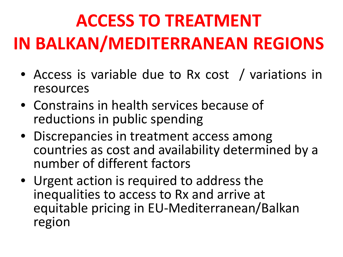# **ACCESS TO TREATMENT IN BALKAN/MEDITERRANEAN REGIONS**

- Access is variable due to Rx cost / variations in resources
- Constrains in health services because of reductions in public spending
- Discrepancies in treatment access among countries as cost and availability determined by a number of different factors
- Urgent action is required to address the inequalities to access to Rx and arrive at equitable pricing in EU-Mediterranean/Balkan region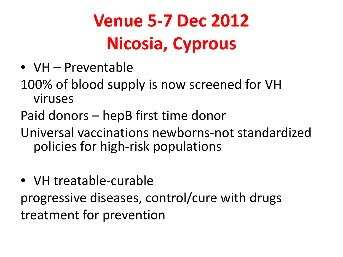### **Venue 5-7 Dec 2012 Nicosia, Cyprous**

- VH Preventable
- 100% of blood supply is now screened for VH viruses
- Paid donors hepB first time donor
- Universal vaccinations newborns-not standardized policies for high-risk populations
- VH treatable-curable progressive diseases, control/cure with drugs treatment for prevention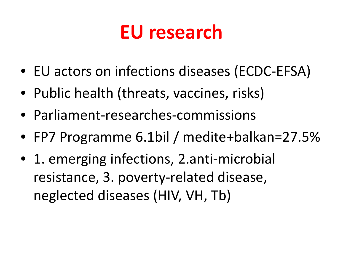#### **EU research**

- EU actors on infections diseases (ECDC-EFSA)
- Public health (threats, vaccines, risks)
- Parliament-researches-commissions
- FP7 Programme 6.1bil / medite+balkan=27.5%
- 1. emerging infections, 2. anti-microbial resistance, 3. poverty-related disease, neglected diseases (HIV, VH, Tb)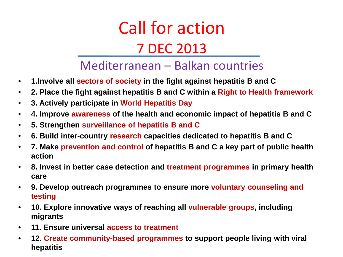Call for action 7 DEC 2013

Mediterranean – Balkan countries

- **1.Involve all sectors of society in the fight against hepatitis B and C**
- **2. Place the fight against hepatitis B and C within a Right to Health framework**
- **3. Actively participate in World Hepatitis Day**
- **4. Improve awareness of the health and economic impact of hepatitis B and C**
- **5. Strengthen surveillance of hepatitis B and C**
- **6. Build inter-country research capacities dedicated to hepatitis B and C**
- **7. Make prevention and control of hepatitis B and C a key part of public health action**
- **8. Invest in better case detection and treatment programmes in primary health care**
- **9. Develop outreach programmes to ensure more voluntary counseling and testing**
- **10. Explore innovative ways of reaching all vulnerable groups, including migrants**
- **11. Ensure universal access to treatment**
- **12. Create community-based programmes to support people living with viral hepatitis**